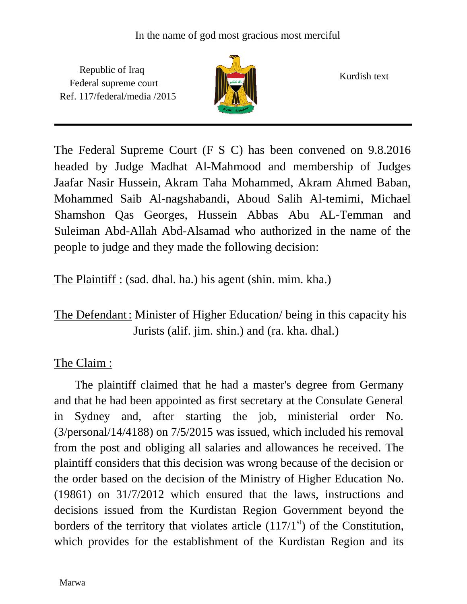Republic of Iraq Federal supreme court Ref. 117/federal/media /2015



Kurdish text

The Federal Supreme Court (F S C) has been convened on 9.8.2016 headed by Judge Madhat Al-Mahmood and membership of Judges Jaafar Nasir Hussein, Akram Taha Mohammed, Akram Ahmed Baban, Mohammed Saib Al-nagshabandi, Aboud Salih Al-temimi, Michael Shamshon Qas Georges, Hussein Abbas Abu AL-Temman and Suleiman Abd-Allah Abd-Alsamad who authorized in the name of the people to judge and they made the following decision:

The Plaintiff : (sad. dhal. ha.) his agent (shin. mim. kha.)

## The Defendant: Minister of Higher Education/ being in this capacity his Jurists (alif. jim. shin.) and (ra. kha. dhal.)

## The Claim :

 The plaintiff claimed that he had a master's degree from Germany and that he had been appointed as first secretary at the Consulate General in Sydney and, after starting the job, ministerial order No. (3/personal/14/4188) on 7/5/2015 was issued, which included his removal from the post and obliging all salaries and allowances he received. The plaintiff considers that this decision was wrong because of the decision or the order based on the decision of the Ministry of Higher Education No. (19861) on 31/7/2012 which ensured that the laws, instructions and decisions issued from the Kurdistan Region Government beyond the borders of the territory that violates article  $(117/1<sup>st</sup>)$  of the Constitution, which provides for the establishment of the Kurdistan Region and its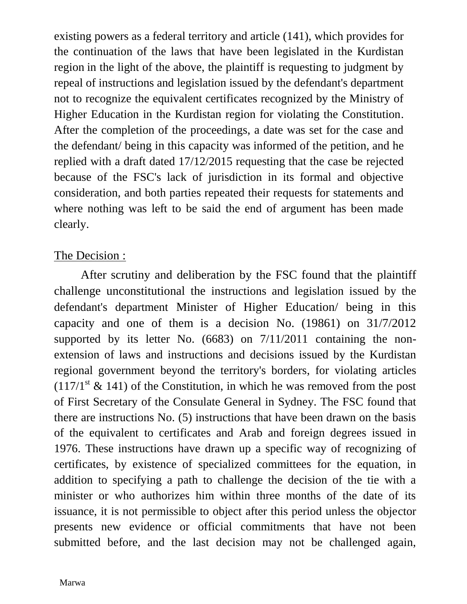existing powers as a federal territory and article (141), which provides for the continuation of the laws that have been legislated in the Kurdistan region in the light of the above, the plaintiff is requesting to judgment by repeal of instructions and legislation issued by the defendant's department not to recognize the equivalent certificates recognized by the Ministry of Higher Education in the Kurdistan region for violating the Constitution. After the completion of the proceedings, a date was set for the case and the defendant/ being in this capacity was informed of the petition, and he replied with a draft dated 17/12/2015 requesting that the case be rejected because of the FSC's lack of jurisdiction in its formal and objective consideration, and both parties repeated their requests for statements and where nothing was left to be said the end of argument has been made clearly.

## The Decision :

 After scrutiny and deliberation by the FSC found that the plaintiff challenge unconstitutional the instructions and legislation issued by the defendant's department Minister of Higher Education/ being in this capacity and one of them is a decision No. (19861) on 31/7/2012 supported by its letter No. (6683) on 7/11/2011 containing the nonextension of laws and instructions and decisions issued by the Kurdistan regional government beyond the territory's borders, for violating articles  $(117/1<sup>st</sup> \& 141)$  of the Constitution, in which he was removed from the post of First Secretary of the Consulate General in Sydney. The FSC found that there are instructions No. (5) instructions that have been drawn on the basis of the equivalent to certificates and Arab and foreign degrees issued in 1976. These instructions have drawn up a specific way of recognizing of certificates, by existence of specialized committees for the equation, in addition to specifying a path to challenge the decision of the tie with a minister or who authorizes him within three months of the date of its issuance, it is not permissible to object after this period unless the objector presents new evidence or official commitments that have not been submitted before, and the last decision may not be challenged again,